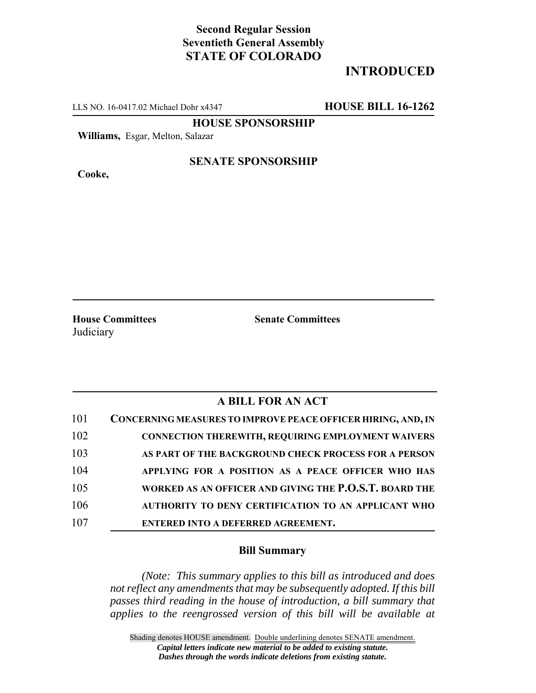### **Second Regular Session Seventieth General Assembly STATE OF COLORADO**

# **INTRODUCED**

LLS NO. 16-0417.02 Michael Dohr x4347 **HOUSE BILL 16-1262**

**HOUSE SPONSORSHIP**

**Williams,** Esgar, Melton, Salazar

**Cooke,**

#### **SENATE SPONSORSHIP**

**House Committees Senate Committees Judiciary** 

# **A BILL FOR AN ACT**

| 101 | CONCERNING MEASURES TO IMPROVE PEACE OFFICER HIRING, AND, IN |
|-----|--------------------------------------------------------------|
| 102 | <b>CONNECTION THEREWITH, REQUIRING EMPLOYMENT WAIVERS</b>    |
| 103 | AS PART OF THE BACKGROUND CHECK PROCESS FOR A PERSON         |
| 104 | APPLYING FOR A POSITION AS A PEACE OFFICER WHO HAS           |
| 105 | WORKED AS AN OFFICER AND GIVING THE P.O.S.T. BOARD THE       |
| 106 | AUTHORITY TO DENY CERTIFICATION TO AN APPLICANT WHO          |
| 107 | ENTERED INTO A DEFERRED AGREEMENT.                           |

### **Bill Summary**

*(Note: This summary applies to this bill as introduced and does not reflect any amendments that may be subsequently adopted. If this bill passes third reading in the house of introduction, a bill summary that applies to the reengrossed version of this bill will be available at*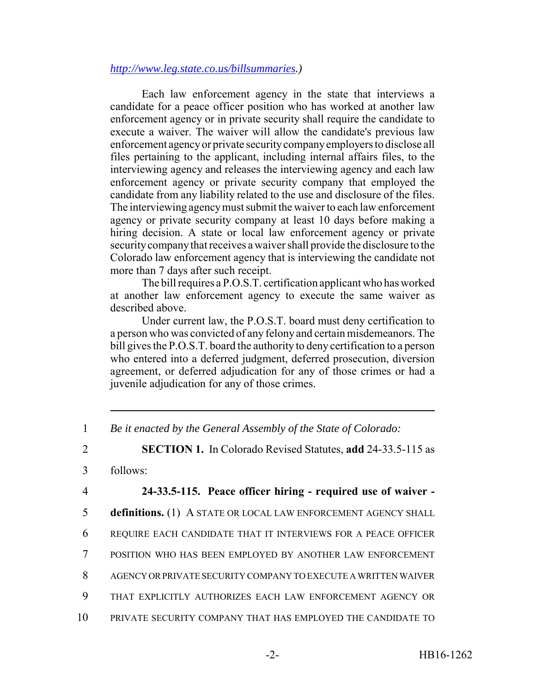#### *http://www.leg.state.co.us/billsummaries.)*

Each law enforcement agency in the state that interviews a candidate for a peace officer position who has worked at another law enforcement agency or in private security shall require the candidate to execute a waiver. The waiver will allow the candidate's previous law enforcement agency or private security company employers to disclose all files pertaining to the applicant, including internal affairs files, to the interviewing agency and releases the interviewing agency and each law enforcement agency or private security company that employed the candidate from any liability related to the use and disclosure of the files. The interviewing agency must submit the waiver to each law enforcement agency or private security company at least 10 days before making a hiring decision. A state or local law enforcement agency or private security company that receives a waiver shall provide the disclosure to the Colorado law enforcement agency that is interviewing the candidate not more than 7 days after such receipt.

The bill requires a P.O.S.T. certification applicant who has worked at another law enforcement agency to execute the same waiver as described above.

Under current law, the P.O.S.T. board must deny certification to a person who was convicted of any felony and certain misdemeanors. The bill gives the P.O.S.T. board the authority to deny certification to a person who entered into a deferred judgment, deferred prosecution, diversion agreement, or deferred adjudication for any of those crimes or had a juvenile adjudication for any of those crimes.

- 1 *Be it enacted by the General Assembly of the State of Colorado:*
- 2 **SECTION 1.** In Colorado Revised Statutes, **add** 24-33.5-115 as
- 3 follows:
- 

4 **24-33.5-115. Peace officer hiring - required use of waiver -**

5 **definitions.** (1) A STATE OR LOCAL LAW ENFORCEMENT AGENCY SHALL

- 6 REQUIRE EACH CANDIDATE THAT IT INTERVIEWS FOR A PEACE OFFICER
- 7 POSITION WHO HAS BEEN EMPLOYED BY ANOTHER LAW ENFORCEMENT
- 8 AGENCY OR PRIVATE SECURITY COMPANY TO EXECUTE A WRITTEN WAIVER
- 9 THAT EXPLICITLY AUTHORIZES EACH LAW ENFORCEMENT AGENCY OR
- 10 PRIVATE SECURITY COMPANY THAT HAS EMPLOYED THE CANDIDATE TO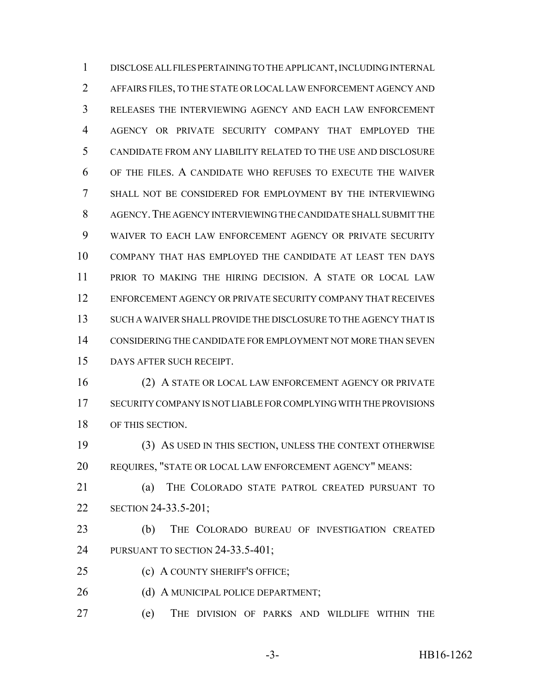DISCLOSE ALL FILES PERTAINING TO THE APPLICANT, INCLUDING INTERNAL AFFAIRS FILES, TO THE STATE OR LOCAL LAW ENFORCEMENT AGENCY AND RELEASES THE INTERVIEWING AGENCY AND EACH LAW ENFORCEMENT AGENCY OR PRIVATE SECURITY COMPANY THAT EMPLOYED THE CANDIDATE FROM ANY LIABILITY RELATED TO THE USE AND DISCLOSURE OF THE FILES. A CANDIDATE WHO REFUSES TO EXECUTE THE WAIVER SHALL NOT BE CONSIDERED FOR EMPLOYMENT BY THE INTERVIEWING AGENCY.THE AGENCY INTERVIEWING THE CANDIDATE SHALL SUBMIT THE WAIVER TO EACH LAW ENFORCEMENT AGENCY OR PRIVATE SECURITY COMPANY THAT HAS EMPLOYED THE CANDIDATE AT LEAST TEN DAYS PRIOR TO MAKING THE HIRING DECISION. A STATE OR LOCAL LAW ENFORCEMENT AGENCY OR PRIVATE SECURITY COMPANY THAT RECEIVES SUCH A WAIVER SHALL PROVIDE THE DISCLOSURE TO THE AGENCY THAT IS CONSIDERING THE CANDIDATE FOR EMPLOYMENT NOT MORE THAN SEVEN DAYS AFTER SUCH RECEIPT. (2) A STATE OR LOCAL LAW ENFORCEMENT AGENCY OR PRIVATE

 SECURITY COMPANY IS NOT LIABLE FOR COMPLYING WITH THE PROVISIONS OF THIS SECTION.

 (3) AS USED IN THIS SECTION, UNLESS THE CONTEXT OTHERWISE REQUIRES, "STATE OR LOCAL LAW ENFORCEMENT AGENCY" MEANS:

 (a) THE COLORADO STATE PATROL CREATED PURSUANT TO SECTION 24-33.5-201;

 (b) THE COLORADO BUREAU OF INVESTIGATION CREATED PURSUANT TO SECTION 24-33.5-401;

- (c) A COUNTY SHERIFF'S OFFICE;
- 26 (d) A MUNICIPAL POLICE DEPARTMENT;
- (e) THE DIVISION OF PARKS AND WILDLIFE WITHIN THE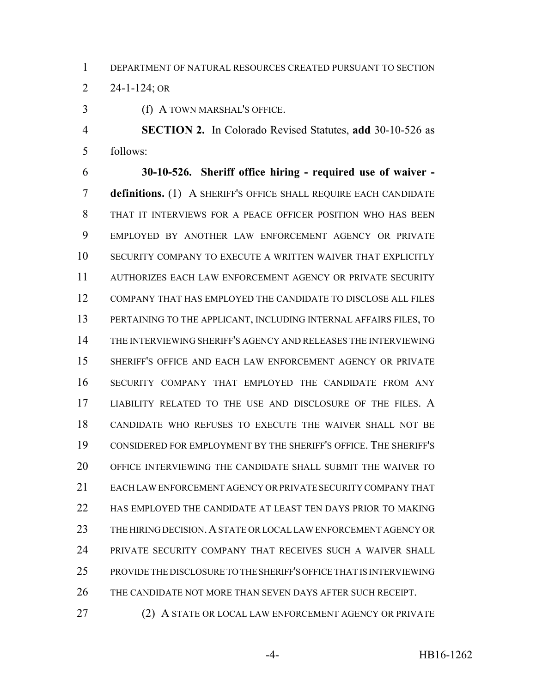#### DEPARTMENT OF NATURAL RESOURCES CREATED PURSUANT TO SECTION

24-1-124; OR

(f) A TOWN MARSHAL'S OFFICE.

 **SECTION 2.** In Colorado Revised Statutes, **add** 30-10-526 as follows:

 **30-10-526. Sheriff office hiring - required use of waiver - definitions.** (1) A SHERIFF'S OFFICE SHALL REQUIRE EACH CANDIDATE THAT IT INTERVIEWS FOR A PEACE OFFICER POSITION WHO HAS BEEN EMPLOYED BY ANOTHER LAW ENFORCEMENT AGENCY OR PRIVATE SECURITY COMPANY TO EXECUTE A WRITTEN WAIVER THAT EXPLICITLY AUTHORIZES EACH LAW ENFORCEMENT AGENCY OR PRIVATE SECURITY COMPANY THAT HAS EMPLOYED THE CANDIDATE TO DISCLOSE ALL FILES PERTAINING TO THE APPLICANT, INCLUDING INTERNAL AFFAIRS FILES, TO THE INTERVIEWING SHERIFF'S AGENCY AND RELEASES THE INTERVIEWING SHERIFF'S OFFICE AND EACH LAW ENFORCEMENT AGENCY OR PRIVATE SECURITY COMPANY THAT EMPLOYED THE CANDIDATE FROM ANY LIABILITY RELATED TO THE USE AND DISCLOSURE OF THE FILES. A CANDIDATE WHO REFUSES TO EXECUTE THE WAIVER SHALL NOT BE CONSIDERED FOR EMPLOYMENT BY THE SHERIFF'S OFFICE. THE SHERIFF'S OFFICE INTERVIEWING THE CANDIDATE SHALL SUBMIT THE WAIVER TO EACH LAW ENFORCEMENT AGENCY OR PRIVATE SECURITY COMPANY THAT HAS EMPLOYED THE CANDIDATE AT LEAST TEN DAYS PRIOR TO MAKING THE HIRING DECISION.A STATE OR LOCAL LAW ENFORCEMENT AGENCY OR PRIVATE SECURITY COMPANY THAT RECEIVES SUCH A WAIVER SHALL PROVIDE THE DISCLOSURE TO THE SHERIFF'S OFFICE THAT IS INTERVIEWING THE CANDIDATE NOT MORE THAN SEVEN DAYS AFTER SUCH RECEIPT.

27 (2) A STATE OR LOCAL LAW ENFORCEMENT AGENCY OR PRIVATE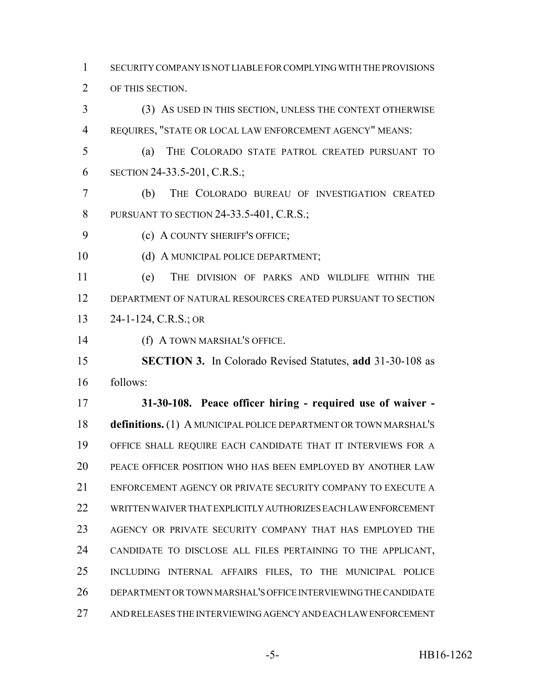SECURITY COMPANY IS NOT LIABLE FOR COMPLYING WITH THE PROVISIONS

OF THIS SECTION.

 (3) AS USED IN THIS SECTION, UNLESS THE CONTEXT OTHERWISE REQUIRES, "STATE OR LOCAL LAW ENFORCEMENT AGENCY" MEANS:

 (a) THE COLORADO STATE PATROL CREATED PURSUANT TO SECTION 24-33.5-201, C.R.S.;

 (b) THE COLORADO BUREAU OF INVESTIGATION CREATED 8 PURSUANT TO SECTION 24-33.5-401, C.R.S.;

**(c)** A COUNTY SHERIFF'S OFFICE;

10 (d) A MUNICIPAL POLICE DEPARTMENT;

 (e) THE DIVISION OF PARKS AND WILDLIFE WITHIN THE DEPARTMENT OF NATURAL RESOURCES CREATED PURSUANT TO SECTION 24-1-124, C.R.S.; OR

(f) A TOWN MARSHAL'S OFFICE.

 **SECTION 3.** In Colorado Revised Statutes, **add** 31-30-108 as follows:

 **31-30-108. Peace officer hiring - required use of waiver - definitions.** (1) A MUNICIPAL POLICE DEPARTMENT OR TOWN MARSHAL'S OFFICE SHALL REQUIRE EACH CANDIDATE THAT IT INTERVIEWS FOR A PEACE OFFICER POSITION WHO HAS BEEN EMPLOYED BY ANOTHER LAW ENFORCEMENT AGENCY OR PRIVATE SECURITY COMPANY TO EXECUTE A WRITTEN WAIVER THAT EXPLICITLY AUTHORIZES EACH LAW ENFORCEMENT AGENCY OR PRIVATE SECURITY COMPANY THAT HAS EMPLOYED THE CANDIDATE TO DISCLOSE ALL FILES PERTAINING TO THE APPLICANT, INCLUDING INTERNAL AFFAIRS FILES, TO THE MUNICIPAL POLICE DEPARTMENT OR TOWN MARSHAL'S OFFICE INTERVIEWING THE CANDIDATE AND RELEASES THE INTERVIEWING AGENCY AND EACH LAW ENFORCEMENT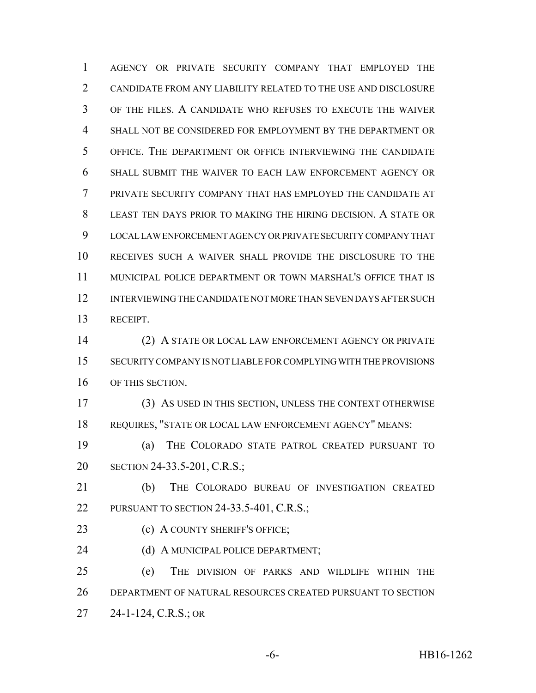AGENCY OR PRIVATE SECURITY COMPANY THAT EMPLOYED THE CANDIDATE FROM ANY LIABILITY RELATED TO THE USE AND DISCLOSURE OF THE FILES. A CANDIDATE WHO REFUSES TO EXECUTE THE WAIVER SHALL NOT BE CONSIDERED FOR EMPLOYMENT BY THE DEPARTMENT OR OFFICE. THE DEPARTMENT OR OFFICE INTERVIEWING THE CANDIDATE SHALL SUBMIT THE WAIVER TO EACH LAW ENFORCEMENT AGENCY OR PRIVATE SECURITY COMPANY THAT HAS EMPLOYED THE CANDIDATE AT LEAST TEN DAYS PRIOR TO MAKING THE HIRING DECISION. A STATE OR LOCAL LAW ENFORCEMENT AGENCY OR PRIVATE SECURITY COMPANY THAT RECEIVES SUCH A WAIVER SHALL PROVIDE THE DISCLOSURE TO THE MUNICIPAL POLICE DEPARTMENT OR TOWN MARSHAL'S OFFICE THAT IS INTERVIEWING THE CANDIDATE NOT MORE THAN SEVEN DAYS AFTER SUCH RECEIPT. (2) A STATE OR LOCAL LAW ENFORCEMENT AGENCY OR PRIVATE SECURITY COMPANY IS NOT LIABLE FOR COMPLYING WITH THE PROVISIONS

OF THIS SECTION.

 (3) AS USED IN THIS SECTION, UNLESS THE CONTEXT OTHERWISE REQUIRES, "STATE OR LOCAL LAW ENFORCEMENT AGENCY" MEANS:

 (a) THE COLORADO STATE PATROL CREATED PURSUANT TO SECTION 24-33.5-201, C.R.S.;

 (b) THE COLORADO BUREAU OF INVESTIGATION CREATED 22 PURSUANT TO SECTION 24-33.5-401, C.R.S.;

23 (c) A COUNTY SHERIFF'S OFFICE;

24 (d) A MUNICIPAL POLICE DEPARTMENT;

 (e) THE DIVISION OF PARKS AND WILDLIFE WITHIN THE DEPARTMENT OF NATURAL RESOURCES CREATED PURSUANT TO SECTION 24-1-124, C.R.S.; OR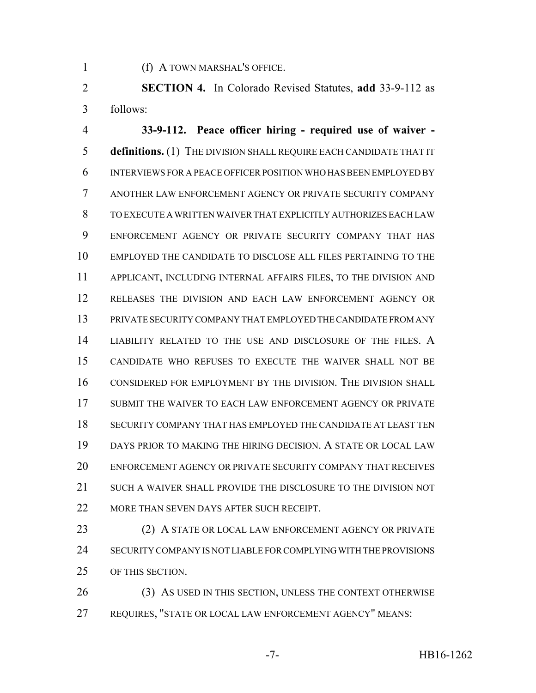(f) A TOWN MARSHAL'S OFFICE.

 **SECTION 4.** In Colorado Revised Statutes, **add** 33-9-112 as follows:

 **33-9-112. Peace officer hiring - required use of waiver - definitions.** (1) THE DIVISION SHALL REQUIRE EACH CANDIDATE THAT IT INTERVIEWS FOR A PEACE OFFICER POSITION WHO HAS BEEN EMPLOYED BY ANOTHER LAW ENFORCEMENT AGENCY OR PRIVATE SECURITY COMPANY TO EXECUTE A WRITTEN WAIVER THAT EXPLICITLY AUTHORIZES EACH LAW ENFORCEMENT AGENCY OR PRIVATE SECURITY COMPANY THAT HAS EMPLOYED THE CANDIDATE TO DISCLOSE ALL FILES PERTAINING TO THE APPLICANT, INCLUDING INTERNAL AFFAIRS FILES, TO THE DIVISION AND RELEASES THE DIVISION AND EACH LAW ENFORCEMENT AGENCY OR PRIVATE SECURITY COMPANY THAT EMPLOYED THE CANDIDATE FROM ANY LIABILITY RELATED TO THE USE AND DISCLOSURE OF THE FILES. A CANDIDATE WHO REFUSES TO EXECUTE THE WAIVER SHALL NOT BE CONSIDERED FOR EMPLOYMENT BY THE DIVISION. THE DIVISION SHALL SUBMIT THE WAIVER TO EACH LAW ENFORCEMENT AGENCY OR PRIVATE SECURITY COMPANY THAT HAS EMPLOYED THE CANDIDATE AT LEAST TEN DAYS PRIOR TO MAKING THE HIRING DECISION. A STATE OR LOCAL LAW ENFORCEMENT AGENCY OR PRIVATE SECURITY COMPANY THAT RECEIVES SUCH A WAIVER SHALL PROVIDE THE DISCLOSURE TO THE DIVISION NOT 22 MORE THAN SEVEN DAYS AFTER SUCH RECEIPT.

23 (2) A STATE OR LOCAL LAW ENFORCEMENT AGENCY OR PRIVATE SECURITY COMPANY IS NOT LIABLE FOR COMPLYING WITH THE PROVISIONS OF THIS SECTION.

26 (3) AS USED IN THIS SECTION, UNLESS THE CONTEXT OTHERWISE REQUIRES, "STATE OR LOCAL LAW ENFORCEMENT AGENCY" MEANS: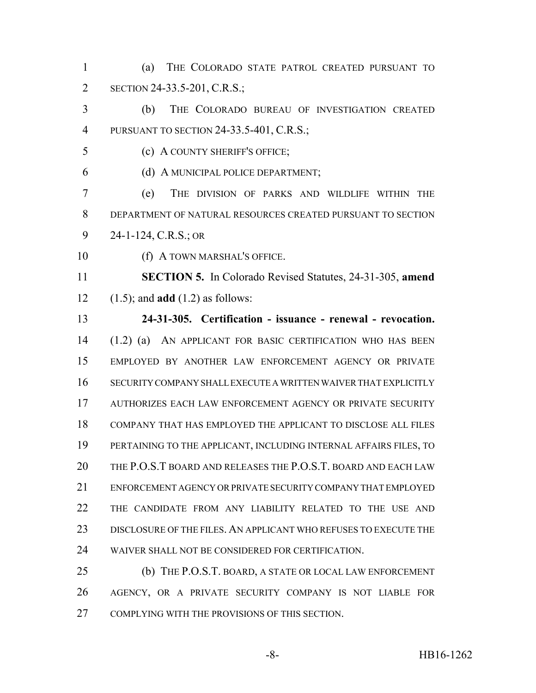(a) THE COLORADO STATE PATROL CREATED PURSUANT TO 2 SECTION 24-33.5-201, C.R.S.;

 (b) THE COLORADO BUREAU OF INVESTIGATION CREATED PURSUANT TO SECTION 24-33.5-401, C.R.S.;

(c) A COUNTY SHERIFF'S OFFICE;

(d) A MUNICIPAL POLICE DEPARTMENT;

 (e) THE DIVISION OF PARKS AND WILDLIFE WITHIN THE DEPARTMENT OF NATURAL RESOURCES CREATED PURSUANT TO SECTION 24-1-124, C.R.S.; OR

10 (f) A TOWN MARSHAL'S OFFICE.

 **SECTION 5.** In Colorado Revised Statutes, 24-31-305, **amend** (1.5); and **add** (1.2) as follows:

 **24-31-305. Certification - issuance - renewal - revocation.** (1.2) (a) AN APPLICANT FOR BASIC CERTIFICATION WHO HAS BEEN EMPLOYED BY ANOTHER LAW ENFORCEMENT AGENCY OR PRIVATE SECURITY COMPANY SHALL EXECUTE A WRITTEN WAIVER THAT EXPLICITLY AUTHORIZES EACH LAW ENFORCEMENT AGENCY OR PRIVATE SECURITY COMPANY THAT HAS EMPLOYED THE APPLICANT TO DISCLOSE ALL FILES PERTAINING TO THE APPLICANT, INCLUDING INTERNAL AFFAIRS FILES, TO THE P.O.S.T BOARD AND RELEASES THE P.O.S.T. BOARD AND EACH LAW ENFORCEMENT AGENCY OR PRIVATE SECURITY COMPANY THAT EMPLOYED THE CANDIDATE FROM ANY LIABILITY RELATED TO THE USE AND DISCLOSURE OF THE FILES. AN APPLICANT WHO REFUSES TO EXECUTE THE WAIVER SHALL NOT BE CONSIDERED FOR CERTIFICATION.

 (b) THE P.O.S.T. BOARD, A STATE OR LOCAL LAW ENFORCEMENT AGENCY, OR A PRIVATE SECURITY COMPANY IS NOT LIABLE FOR COMPLYING WITH THE PROVISIONS OF THIS SECTION.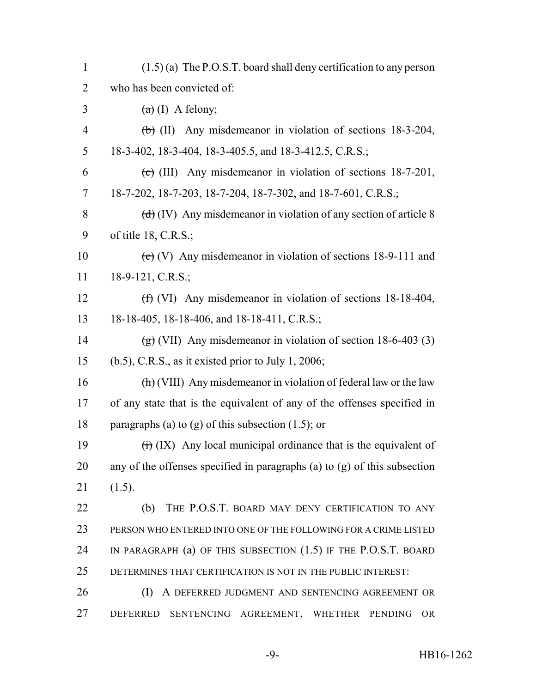| $\mathbf{1}$   | $(1.5)$ (a) The P.O.S.T. board shall deny certification to any person                    |
|----------------|------------------------------------------------------------------------------------------|
| $\overline{2}$ | who has been convicted of:                                                               |
| 3              | $(a)$ (I) A felony;                                                                      |
| $\overline{4}$ | $\overline{(b)}$ (II) Any misdemeanor in violation of sections 18-3-204,                 |
| 5              | 18-3-402, 18-3-404, 18-3-405.5, and 18-3-412.5, C.R.S.;                                  |
| 6              | (c) (III) Any misdemeanor in violation of sections $18-7-201$ ,                          |
| 7              | 18-7-202, 18-7-203, 18-7-204, 18-7-302, and 18-7-601, C.R.S.;                            |
| 8              | $(d)$ (IV) Any misdemeanor in violation of any section of article 8                      |
| 9              | of title $18, C.R.S.;$                                                                   |
| 10             | (e) (V) Any misdemeanor in violation of sections 18-9-111 and                            |
| 11             | 18-9-121, C.R.S.;                                                                        |
| 12             | $(f)$ (VI) Any misdemeanor in violation of sections 18-18-404,                           |
| 13             | 18-18-405, 18-18-406, and 18-18-411, C.R.S.;                                             |
| 14             | $\left(\frac{1}{2}\right)$ (VII) Any misdemeanor in violation of section 18-6-403 (3)    |
| 15             | $(b.5)$ , C.R.S., as it existed prior to July 1, 2006;                                   |
| 16             | $\left(\frac{h}{h}\right)$ (VIII) Any misdemeanor in violation of federal law or the law |
| 17             | of any state that is the equivalent of any of the offenses specified in                  |
| 18             | paragraphs (a) to (g) of this subsection $(1.5)$ ; or                                    |
| 19             | $\overrightarrow{(t)}$ (IX) Any local municipal ordinance that is the equivalent of      |
| 20             | any of the offenses specified in paragraphs (a) to $(g)$ of this subsection              |
| 21             | (1.5).                                                                                   |
| 22             | THE P.O.S.T. BOARD MAY DENY CERTIFICATION TO ANY<br>(b)                                  |
| 23             | PERSON WHO ENTERED INTO ONE OF THE FOLLOWING FOR A CRIME LISTED                          |
| 24             | IN PARAGRAPH $(a)$ OF THIS SUBSECTION $(1.5)$ IF THE P.O.S.T. BOARD                      |
| 25             | DETERMINES THAT CERTIFICATION IS NOT IN THE PUBLIC INTEREST:                             |
| 26             | (I)<br>A DEFERRED JUDGMENT AND SENTENCING AGREEMENT OR                                   |
| 27             | <b>DEFERRED</b><br><b>SENTENCING</b><br>AGREEMENT, WHETHER<br>PENDING<br><b>OR</b>       |